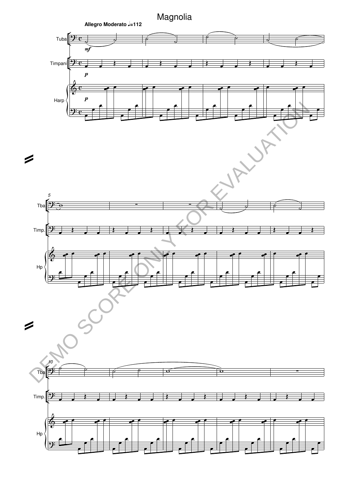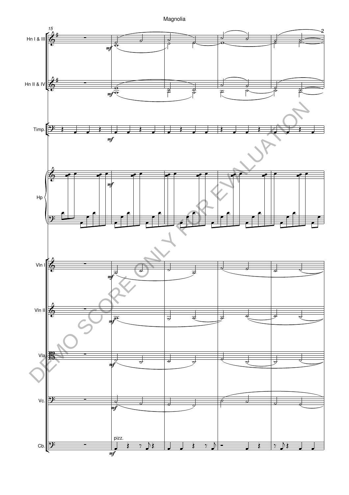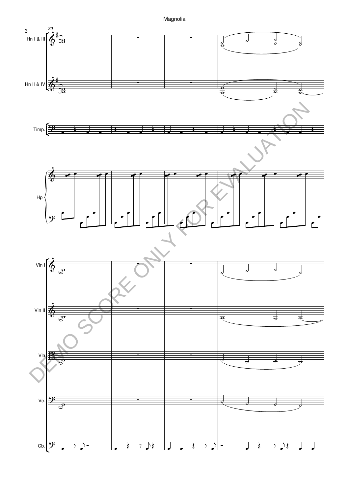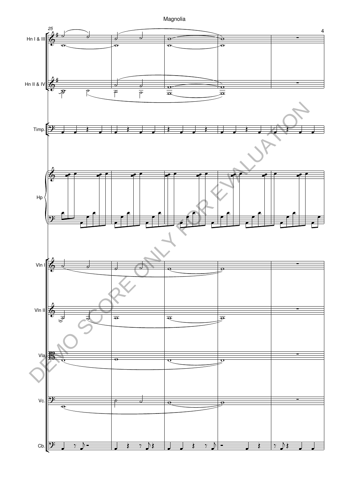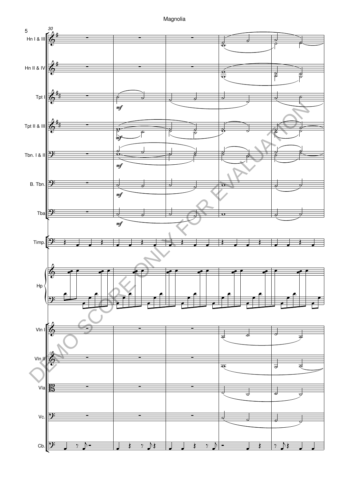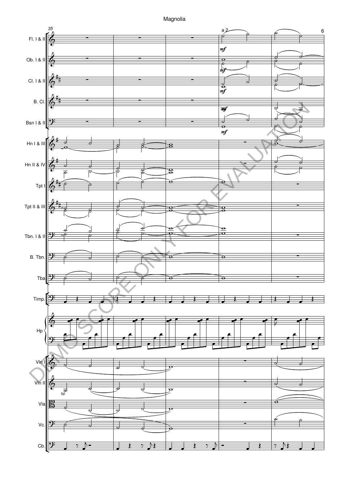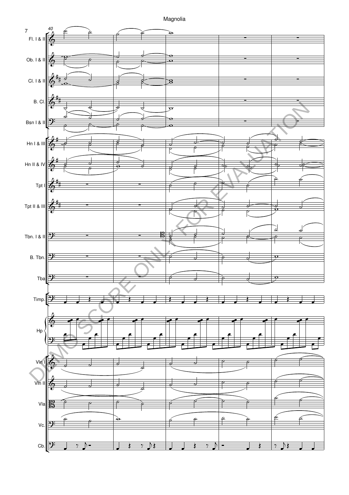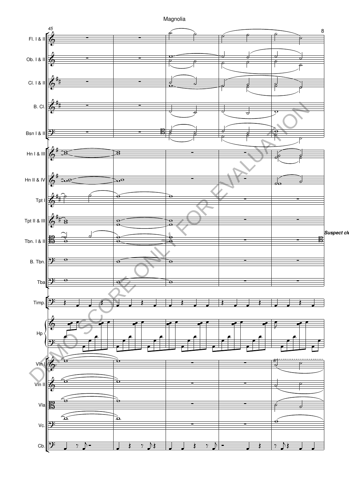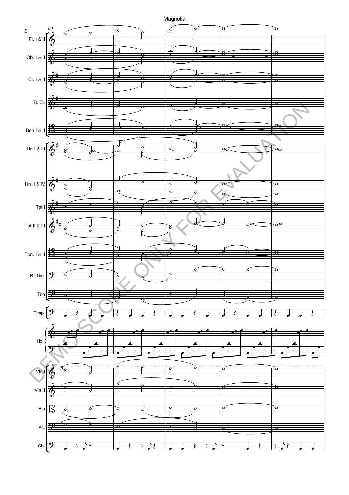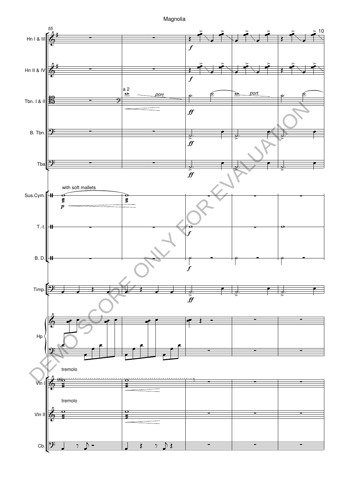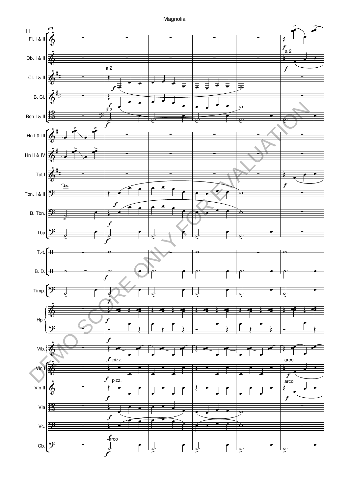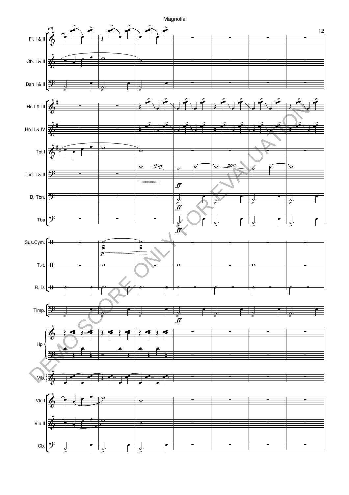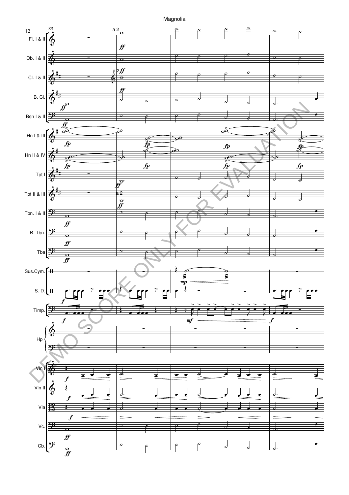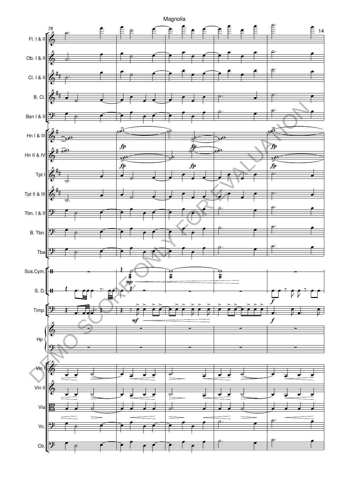

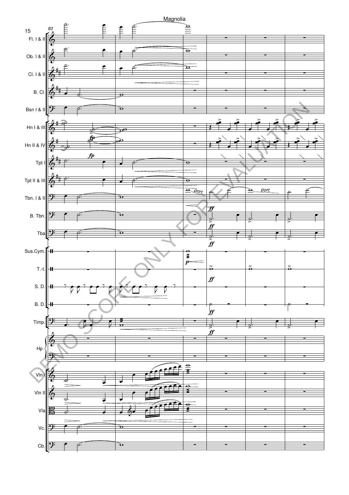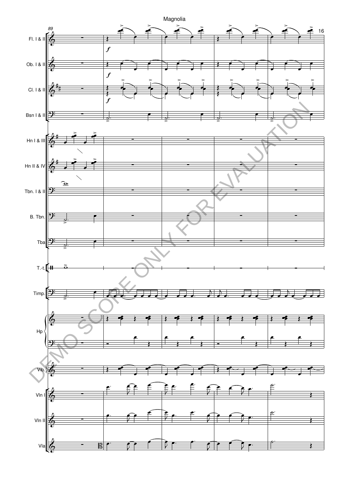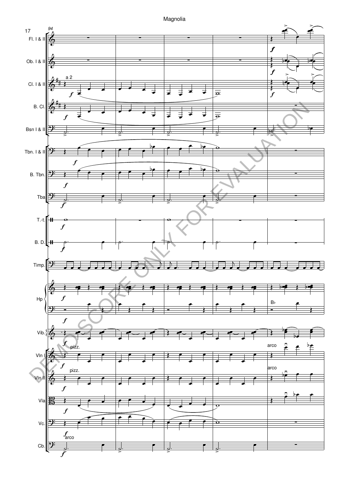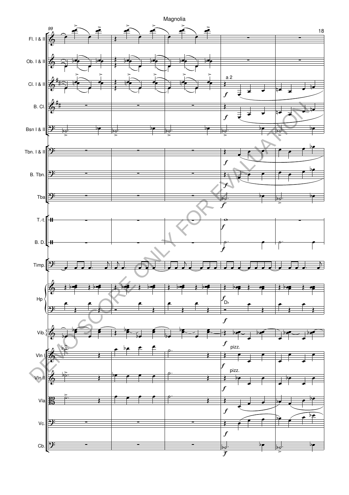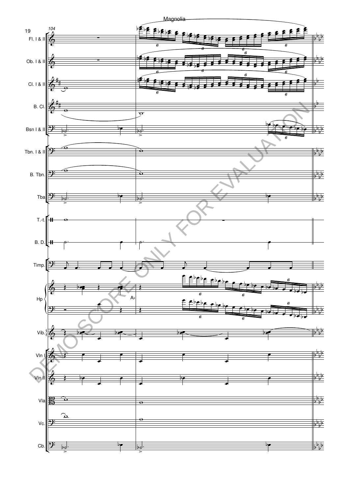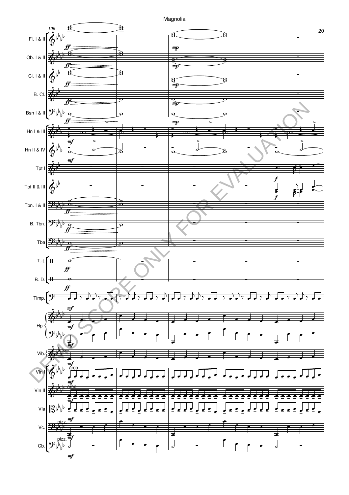

mf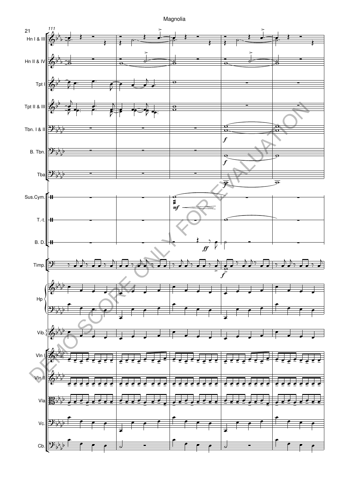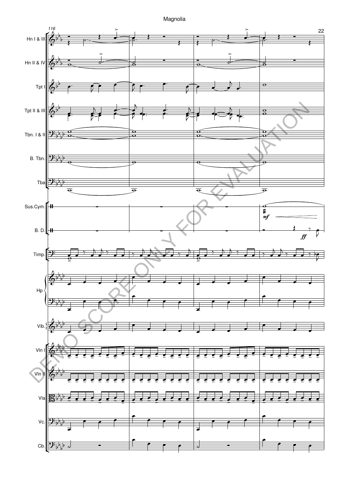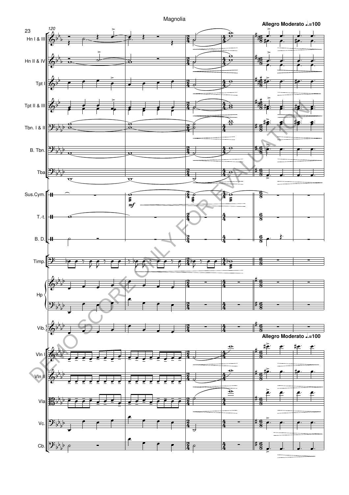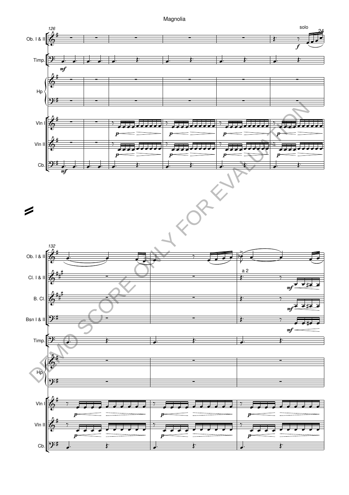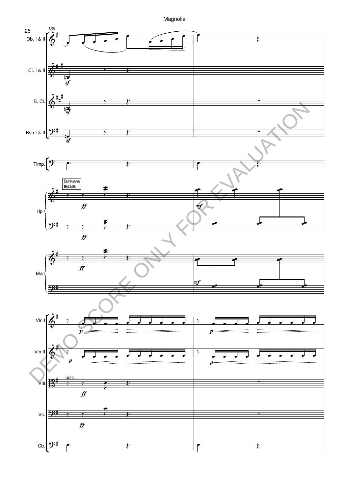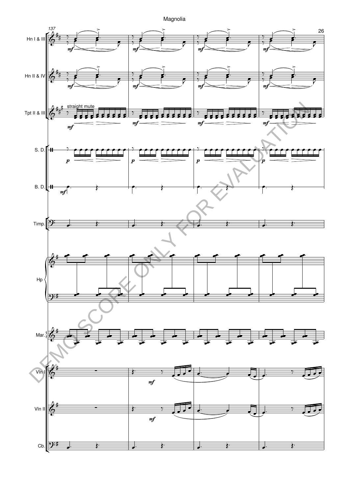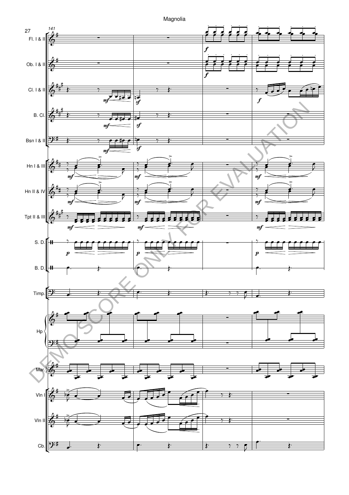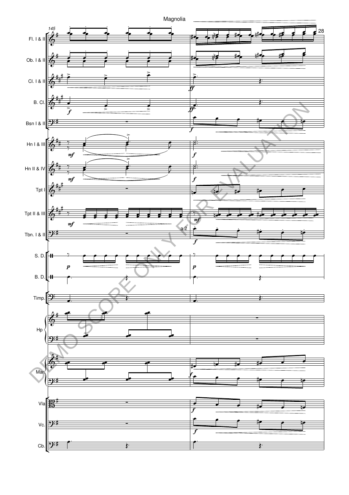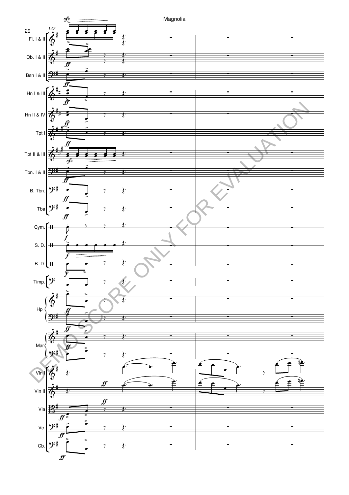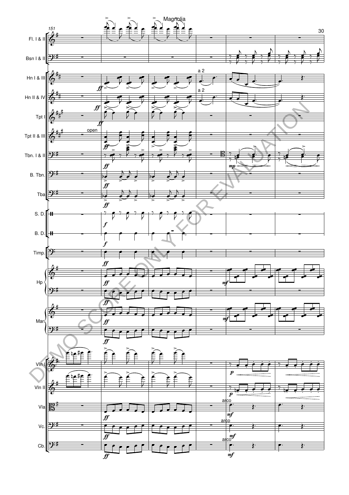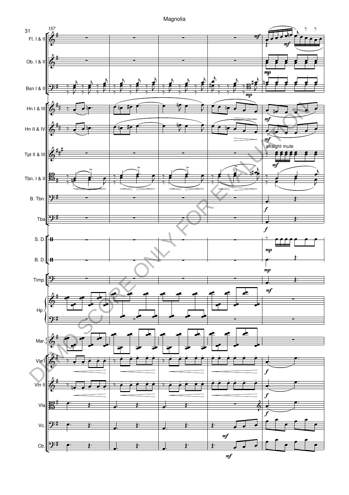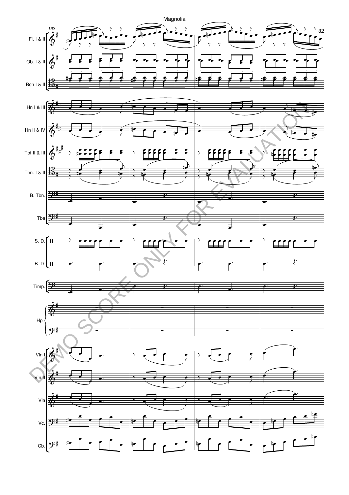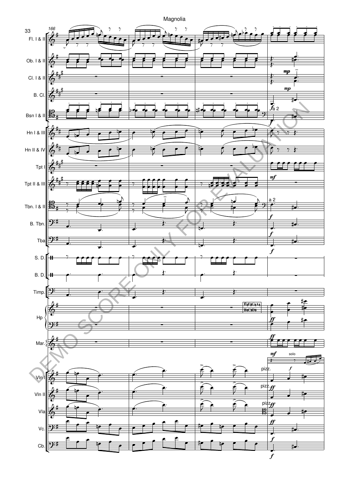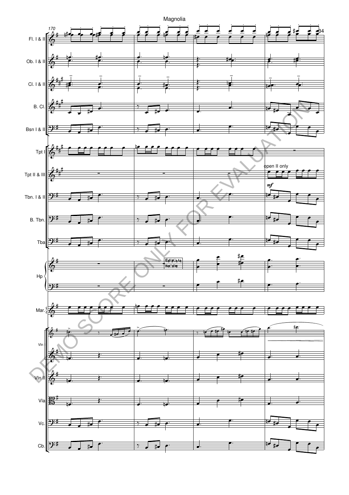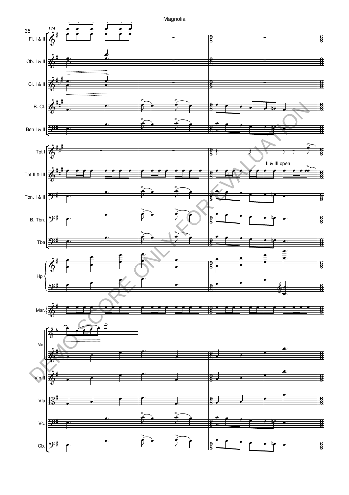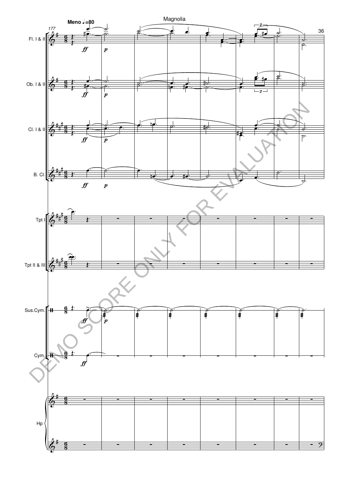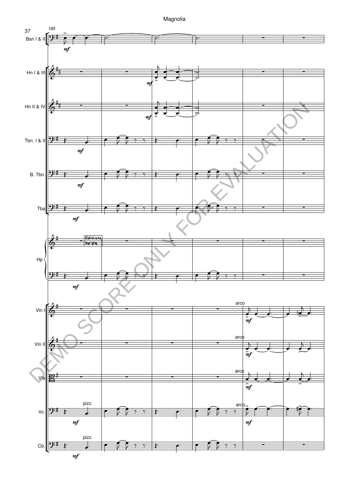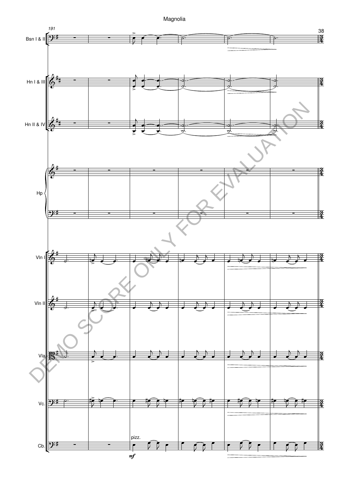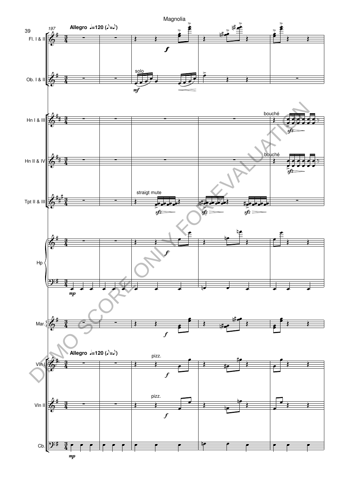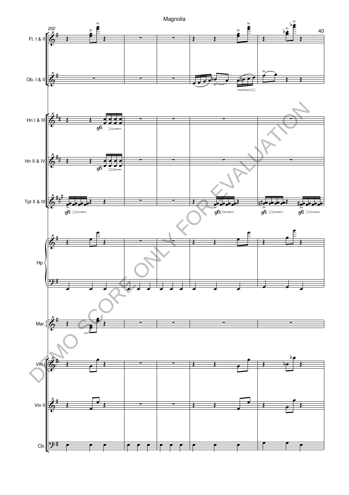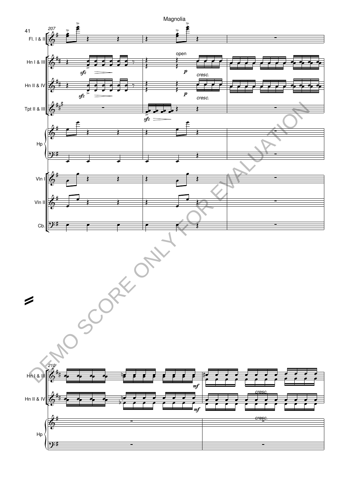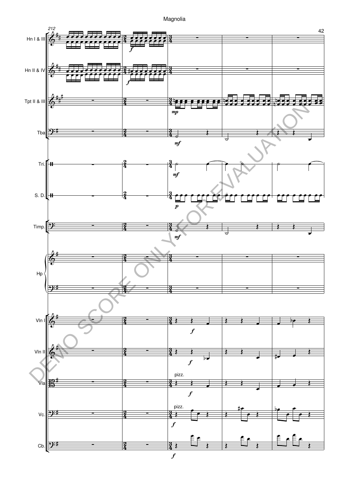

 $\boldsymbol{f}$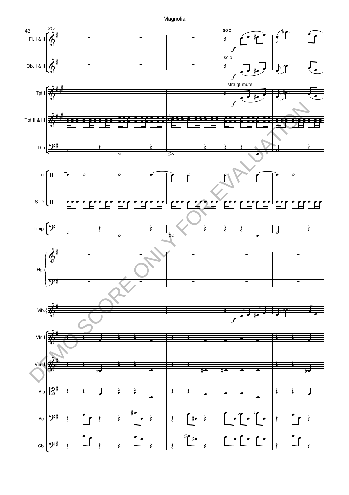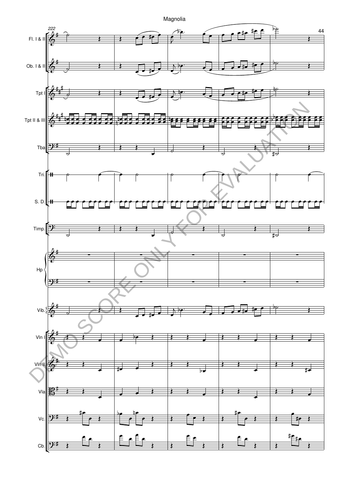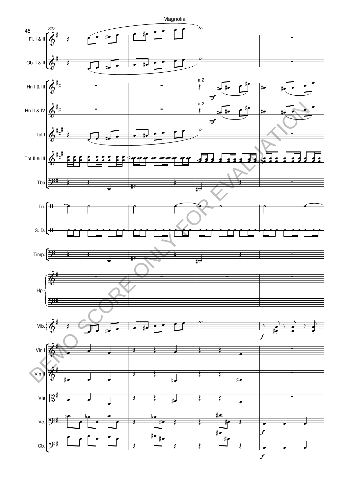

 $\overline{f}$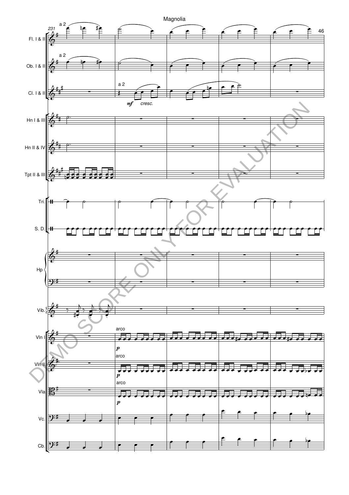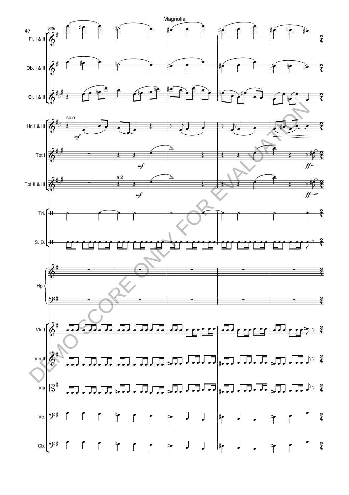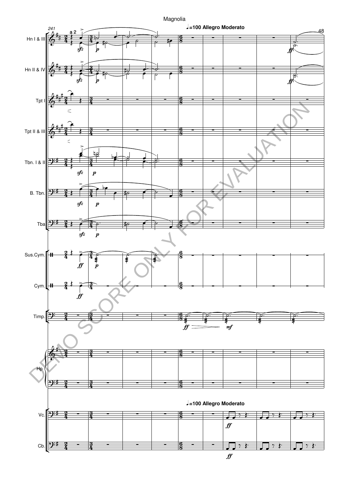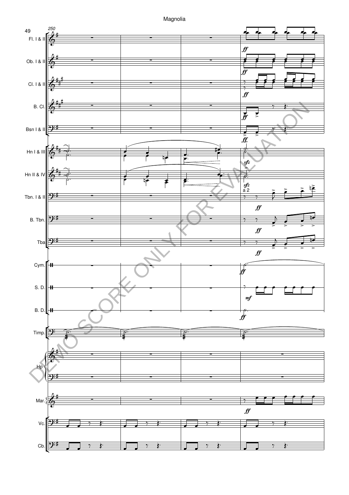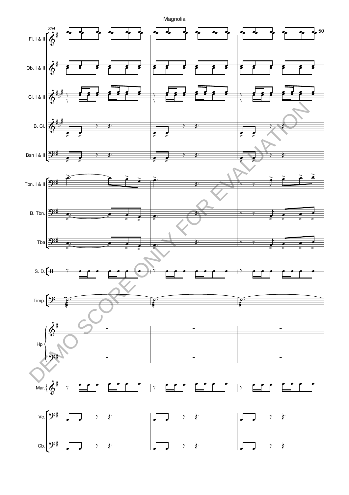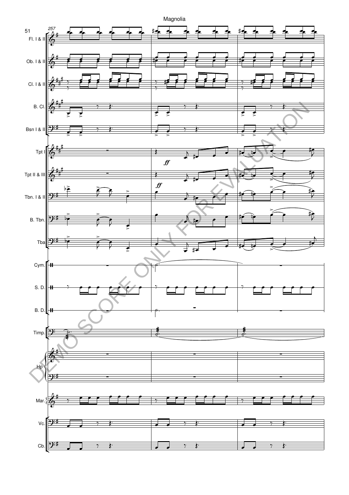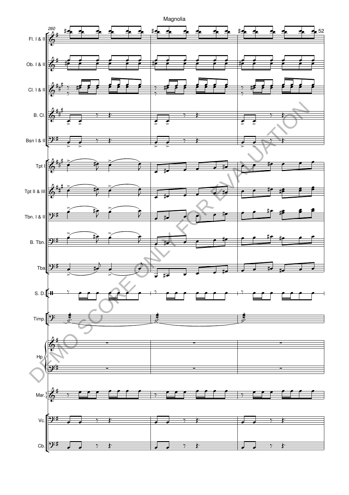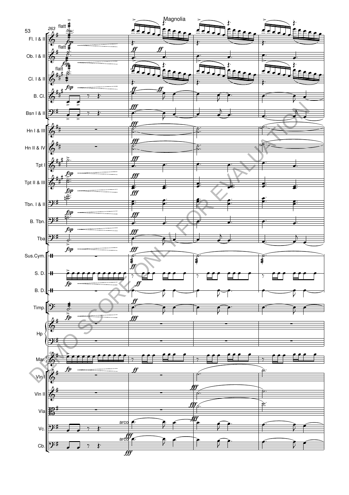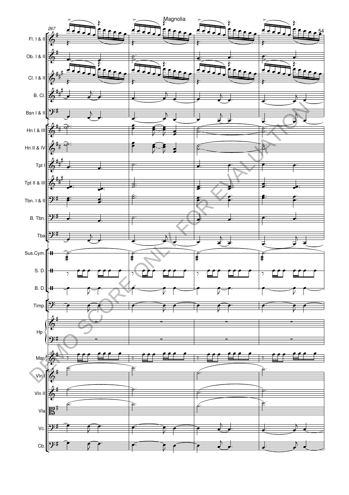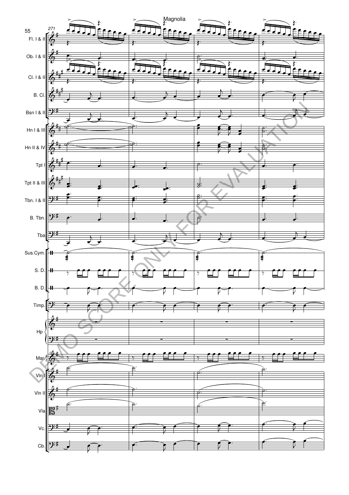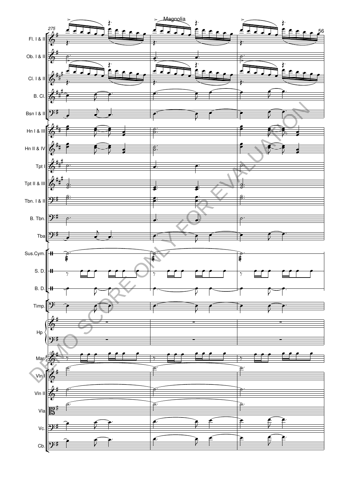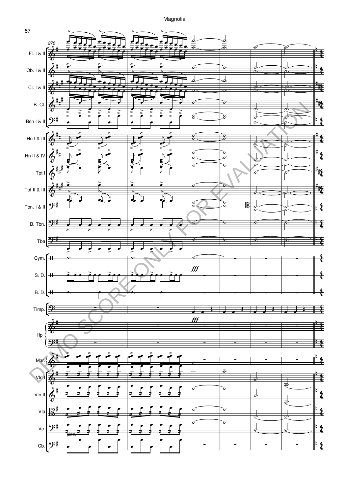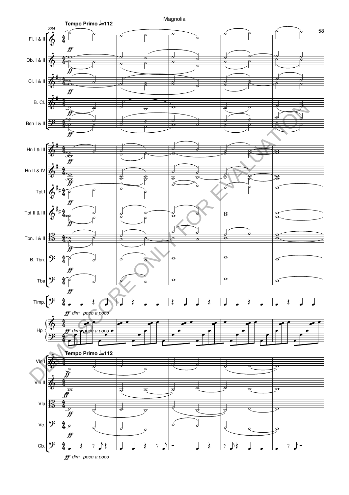

*dim. poco a poco*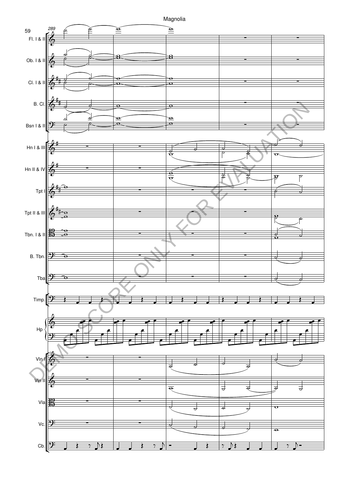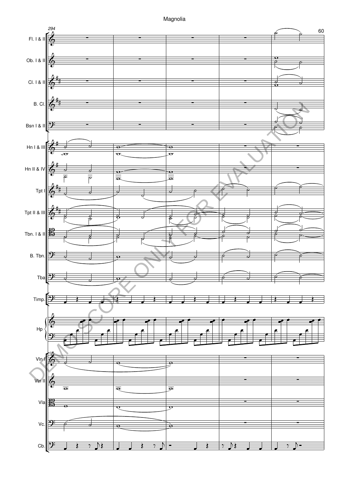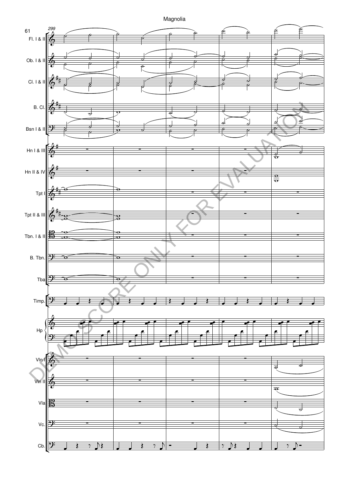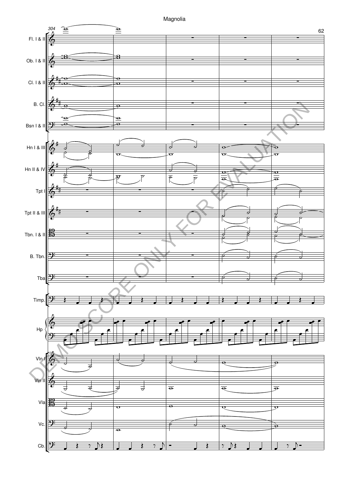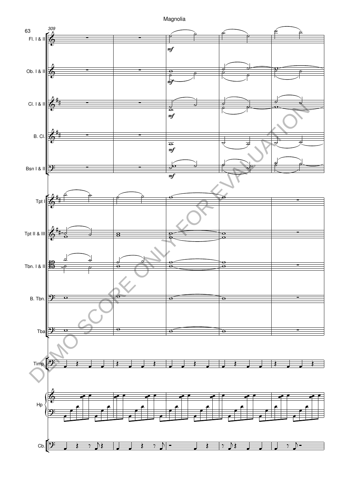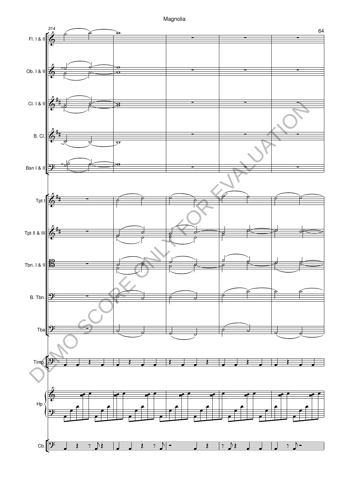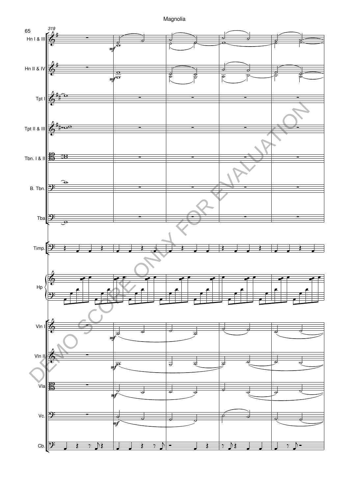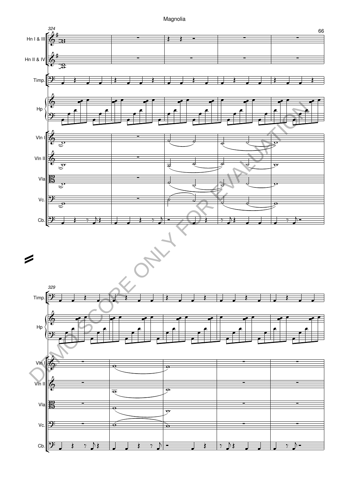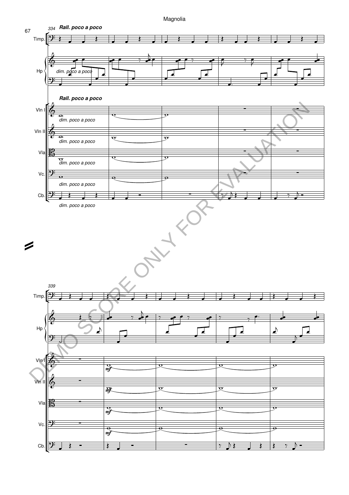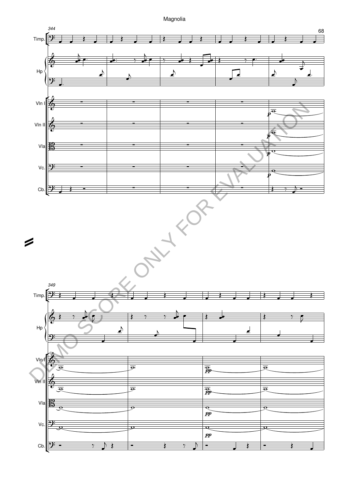